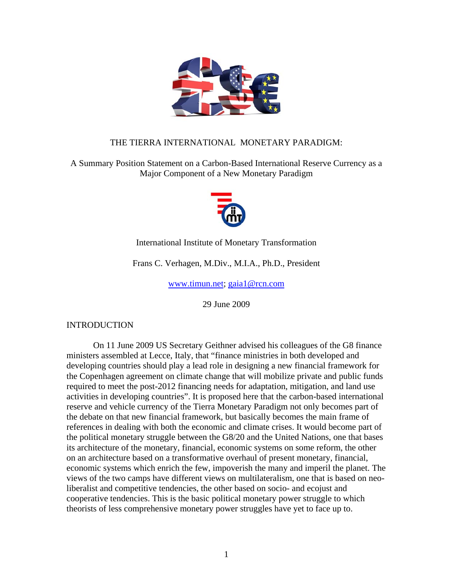

# THE TIERRA INTERNATIONAL MONETARY PARADIGM:

A Summary Position Statement on a Carbon-Based International Reserve Currency as a Major Component of a New Monetary Paradigm



International Institute of Monetary Transformation

Frans C. Verhagen, M.Div., M.I.A., Ph.D., President

www.timun.net; gaia1@rcn.com

29 June 2009

INTRODUCTION

On 11 June 2009 US Secretary Geithner advised his colleagues of the G8 finance ministers assembled at Lecce, Italy, that "finance ministries in both developed and developing countries should play a lead role in designing a new financial framework for the Copenhagen agreement on climate change that will mobilize private and public funds required to meet the post-2012 financing needs for adaptation, mitigation, and land use activities in developing countries". It is proposed here that the carbon-based international reserve and vehicle currency of the Tierra Monetary Paradigm not only becomes part of the debate on that new financial framework, but basically becomes the main frame of references in dealing with both the economic and climate crises. It would become part of the political monetary struggle between the G8/20 and the United Nations, one that bases its architecture of the monetary, financial, economic systems on some reform, the other on an architecture based on a transformative overhaul of present monetary, financial, economic systems which enrich the few, impoverish the many and imperil the planet. The views of the two camps have different views on multilateralism, one that is based on neoliberalist and competitive tendencies, the other based on socio- and ecojust and cooperative tendencies. This is the basic political monetary power struggle to which theorists of less comprehensive monetary power struggles have yet to face up to.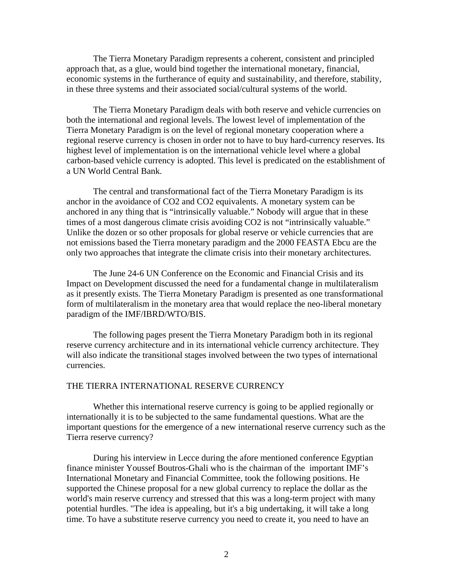The Tierra Monetary Paradigm represents a coherent, consistent and principled approach that, as a glue, would bind together the international monetary, financial, economic systems in the furtherance of equity and sustainability, and therefore, stability, in these three systems and their associated social/cultural systems of the world.

The Tierra Monetary Paradigm deals with both reserve and vehicle currencies on both the international and regional levels. The lowest level of implementation of the Tierra Monetary Paradigm is on the level of regional monetary cooperation where a regional reserve currency is chosen in order not to have to buy hard-currency reserves. Its highest level of implementation is on the international vehicle level where a global carbon-based vehicle currency is adopted. This level is predicated on the establishment of a UN World Central Bank.

The central and transformational fact of the Tierra Monetary Paradigm is its anchor in the avoidance of CO2 and CO2 equivalents. A monetary system can be anchored in any thing that is "intrinsically valuable." Nobody will argue that in these times of a most dangerous climate crisis avoiding CO2 is not "intrinsically valuable." Unlike the dozen or so other proposals for global reserve or vehicle currencies that are not emissions based the Tierra monetary paradigm and the 2000 FEASTA Ebcu are the only two approaches that integrate the climate crisis into their monetary architectures.

The June 24-6 UN Conference on the Economic and Financial Crisis and its Impact on Development discussed the need for a fundamental change in multilateralism as it presently exists. The Tierra Monetary Paradigm is presented as one transformational form of multilateralism in the monetary area that would replace the neo-liberal monetary paradigm of the IMF/IBRD/WTO/BIS.

The following pages present the Tierra Monetary Paradigm both in its regional reserve currency architecture and in its international vehicle currency architecture. They will also indicate the transitional stages involved between the two types of international currencies.

#### THE TIERRA INTERNATIONAL RESERVE CURRENCY

 Whether this international reserve currency is going to be applied regionally or internationally it is to be subjected to the same fundamental questions. What are the important questions for the emergence of a new international reserve currency such as the Tierra reserve currency?

During his interview in Lecce during the afore mentioned conference Egyptian finance minister Youssef Boutros-Ghali who is the chairman of the important IMF's International Monetary and Financial Committee, took the following positions. He supported the Chinese proposal for a new global currency to replace the dollar as the world's main reserve currency and stressed that this was a long-term project with many potential hurdles. "The idea is appealing, but it's a big undertaking, it will take a long time. To have a substitute reserve currency you need to create it, you need to have an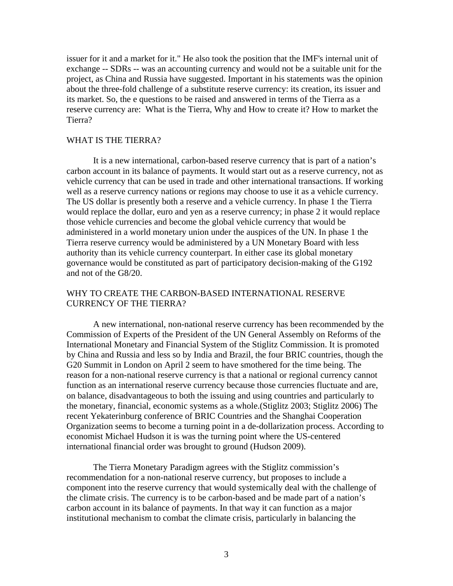issuer for it and a market for it." He also took the position that the IMF's internal unit of exchange -- SDRs -- was an accounting currency and would not be a suitable unit for the project, as China and Russia have suggested. Important in his statements was the opinion about the three-fold challenge of a substitute reserve currency: its creation, its issuer and its market. So, the e questions to be raised and answered in terms of the Tierra as a reserve currency are: What is the Tierra, Why and How to create it? How to market the Tierra?

## WHAT IS THE TIERRA?

It is a new international, carbon-based reserve currency that is part of a nation's carbon account in its balance of payments. It would start out as a reserve currency, not as vehicle currency that can be used in trade and other international transactions. If working well as a reserve currency nations or regions may choose to use it as a vehicle currency. The US dollar is presently both a reserve and a vehicle currency. In phase 1 the Tierra would replace the dollar, euro and yen as a reserve currency; in phase 2 it would replace those vehicle currencies and become the global vehicle currency that would be administered in a world monetary union under the auspices of the UN. In phase 1 the Tierra reserve currency would be administered by a UN Monetary Board with less authority than its vehicle currency counterpart. In either case its global monetary governance would be constituted as part of participatory decision-making of the G192 and not of the G8/20.

# WHY TO CREATE THE CARBON-BASED INTERNATIONAL RESERVE CURRENCY OF THE TIERRA?

A new international, non-national reserve currency has been recommended by the Commission of Experts of the President of the UN General Assembly on Reforms of the International Monetary and Financial System of the Stiglitz Commission. It is promoted by China and Russia and less so by India and Brazil, the four BRIC countries, though the G20 Summit in London on April 2 seem to have smothered for the time being. The reason for a non-national reserve currency is that a national or regional currency cannot function as an international reserve currency because those currencies fluctuate and are, on balance, disadvantageous to both the issuing and using countries and particularly to the monetary, financial, economic systems as a whole.(Stiglitz 2003; Stiglitz 2006) The recent Yekaterinburg conference of BRIC Countries and the Shanghai Cooperation Organization seems to become a turning point in a de-dollarization process. According to economist Michael Hudson it is was the turning point where the US-centered international financial order was brought to ground (Hudson 2009).

The Tierra Monetary Paradigm agrees with the Stiglitz commission's recommendation for a non-national reserve currency, but proposes to include a component into the reserve currency that would systemically deal with the challenge of the climate crisis. The currency is to be carbon-based and be made part of a nation's carbon account in its balance of payments. In that way it can function as a major institutional mechanism to combat the climate crisis, particularly in balancing the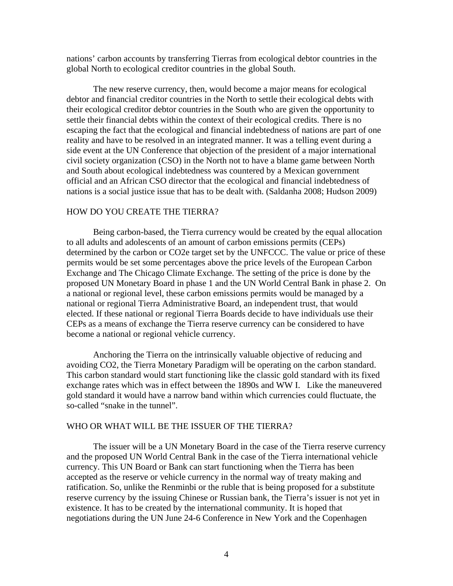nations' carbon accounts by transferring Tierras from ecological debtor countries in the global North to ecological creditor countries in the global South.

The new reserve currency, then, would become a major means for ecological debtor and financial creditor countries in the North to settle their ecological debts with their ecological creditor debtor countries in the South who are given the opportunity to settle their financial debts within the context of their ecological credits. There is no escaping the fact that the ecological and financial indebtedness of nations are part of one reality and have to be resolved in an integrated manner. It was a telling event during a side event at the UN Conference that objection of the president of a major international civil society organization (CSO) in the North not to have a blame game between North and South about ecological indebtedness was countered by a Mexican government official and an African CSO director that the ecological and financial indebtedness of nations is a social justice issue that has to be dealt with. (Saldanha 2008; Hudson 2009)

### HOW DO YOU CREATE THE TIERRA?

Being carbon-based, the Tierra currency would be created by the equal allocation to all adults and adolescents of an amount of carbon emissions permits (CEPs) determined by the carbon or CO2e target set by the UNFCCC. The value or price of these permits would be set some percentages above the price levels of the European Carbon Exchange and The Chicago Climate Exchange. The setting of the price is done by the proposed UN Monetary Board in phase 1 and the UN World Central Bank in phase 2. On a national or regional level, these carbon emissions permits would be managed by a national or regional Tierra Administrative Board, an independent trust, that would elected. If these national or regional Tierra Boards decide to have individuals use their CEPs as a means of exchange the Tierra reserve currency can be considered to have become a national or regional vehicle currency.

Anchoring the Tierra on the intrinsically valuable objective of reducing and avoiding CO2, the Tierra Monetary Paradigm will be operating on the carbon standard. This carbon standard would start functioning like the classic gold standard with its fixed exchange rates which was in effect between the 1890s and WW I. Like the maneuvered gold standard it would have a narrow band within which currencies could fluctuate, the so-called "snake in the tunnel".

#### WHO OR WHAT WILL BE THE ISSUER OF THE TIERRA?

The issuer will be a UN Monetary Board in the case of the Tierra reserve currency and the proposed UN World Central Bank in the case of the Tierra international vehicle currency. This UN Board or Bank can start functioning when the Tierra has been accepted as the reserve or vehicle currency in the normal way of treaty making and ratification. So, unlike the Renminbi or the ruble that is being proposed for a substitute reserve currency by the issuing Chinese or Russian bank, the Tierra's issuer is not yet in existence. It has to be created by the international community. It is hoped that negotiations during the UN June 24-6 Conference in New York and the Copenhagen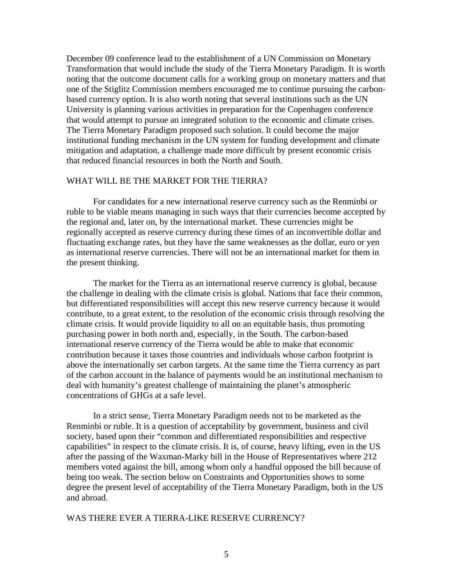December 09 conference lead to the establishment of a UN Commission on Monetary Transformation that would include the study of the Tierra Monetary Paradigm. It is worth noting that the outcome document calls for a working group on monetary matters and that one of the Stiglitz Commission members encouraged me to continue pursuing the carbonbased currency option. It is also worth noting that several institutions such as the UN University is planning various activities in preparation for the Copenhagen conference that would attempt to pursue an integrated solution to the economic and climate crises. The Tierra Monetary Paradigm proposed such solution. It could become the major institutional funding mechanism in the UN system for funding development and climate mitigation and adaptation, a challenge made more difficult by present economic crisis that reduced financial resources in both the North and South.

## WHAT WILL BE THE MARKET FOR THE TIERRA?

For candidates for a new international reserve currency such as the Renminbi or ruble to be viable means managing in such ways that their currencies become accepted by the regional and, later on, by the international market. These currencies might be regionally accepted as reserve currency during these times of an inconvertible dollar and fluctuating exchange rates, but they have the same weaknesses as the dollar, euro or yen as international reserve currencies. There will not be an international market for them in the present thinking.

The market for the Tierra as an international reserve currency is global, because the challenge in dealing with the climate crisis is global. Nations that face their common, but differentiated responsibilities will accept this new reserve currency because it would contribute, to a great extent, to the resolution of the economic crisis through resolving the climate crisis. It would provide liquidity to all on an equitable basis, thus promoting purchasing power in both north and, especially, in the South. The carbon-based international reserve currency of the Tierra would be able to make that economic contribution because it taxes those countries and individuals whose carbon footprint is above the internationally set carbon targets. At the same time the Tierra currency as part of the carbon account in the balance of payments would be an institutional mechanism to deal with humanity's greatest challenge of maintaining the planet's atmospheric concentrations of GHGs at a safe level.

In a strict sense, Tierra Monetary Paradigm needs not to be marketed as the Renminbi or ruble. It is a question of acceptability by government, business and civil society, based upon their "common and differentiated responsibilities and respective capabilities" in respect to the climate crisis. It is, of course, heavy lifting, even in the US after the passing of the Waxman-Marky bill in the House of Representatives where 212 members voted against the bill, among whom only a handful opposed the bill because of being too weak. The section below on Constraints and Opportunities shows to some degree the present level of acceptability of the Tierra Monetary Paradigm, both in the US and abroad.

#### WAS THERE EVER A TIERRA-LIKE RESERVE CURRENCY?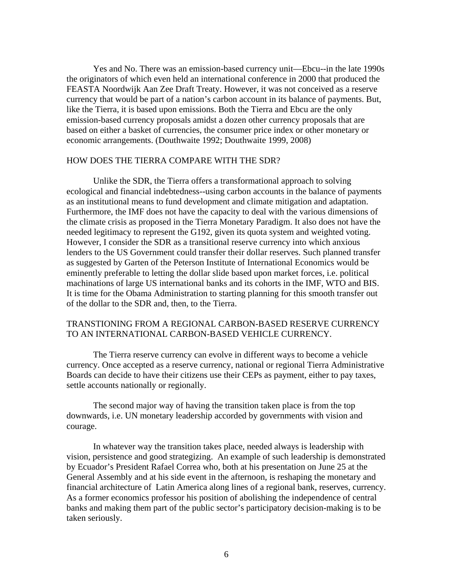Yes and No. There was an emission-based currency unit—Ebcu--in the late 1990s the originators of which even held an international conference in 2000 that produced the FEASTA Noordwijk Aan Zee Draft Treaty. However, it was not conceived as a reserve currency that would be part of a nation's carbon account in its balance of payments. But, like the Tierra, it is based upon emissions. Both the Tierra and Ebcu are the only emission-based currency proposals amidst a dozen other currency proposals that are based on either a basket of currencies, the consumer price index or other monetary or economic arrangements. (Douthwaite 1992; Douthwaite 1999, 2008)

#### HOW DOES THE TIERRA COMPARE WITH THE SDR?

Unlike the SDR, the Tierra offers a transformational approach to solving ecological and financial indebtedness--using carbon accounts in the balance of payments as an institutional means to fund development and climate mitigation and adaptation. Furthermore, the IMF does not have the capacity to deal with the various dimensions of the climate crisis as proposed in the Tierra Monetary Paradigm. It also does not have the needed legitimacy to represent the G192, given its quota system and weighted voting. However, I consider the SDR as a transitional reserve currency into which anxious lenders to the US Government could transfer their dollar reserves. Such planned transfer as suggested by Garten of the Peterson Institute of International Economics would be eminently preferable to letting the dollar slide based upon market forces, i.e. political machinations of large US international banks and its cohorts in the IMF, WTO and BIS. It is time for the Obama Administration to starting planning for this smooth transfer out of the dollar to the SDR and, then, to the Tierra.

## TRANSTIONING FROM A REGIONAL CARBON-BASED RESERVE CURRENCY TO AN INTERNATIONAL CARBON-BASED VEHICLE CURRENCY.

 The Tierra reserve currency can evolve in different ways to become a vehicle currency. Once accepted as a reserve currency, national or regional Tierra Administrative Boards can decide to have their citizens use their CEPs as payment, either to pay taxes, settle accounts nationally or regionally.

 The second major way of having the transition taken place is from the top downwards, i.e. UN monetary leadership accorded by governments with vision and courage.

In whatever way the transition takes place, needed always is leadership with vision, persistence and good strategizing. An example of such leadership is demonstrated by Ecuador's President Rafael Correa who, both at his presentation on June 25 at the General Assembly and at his side event in the afternoon, is reshaping the monetary and financial architecture of Latin America along lines of a regional bank, reserves, currency. As a former economics professor his position of abolishing the independence of central banks and making them part of the public sector's participatory decision-making is to be taken seriously.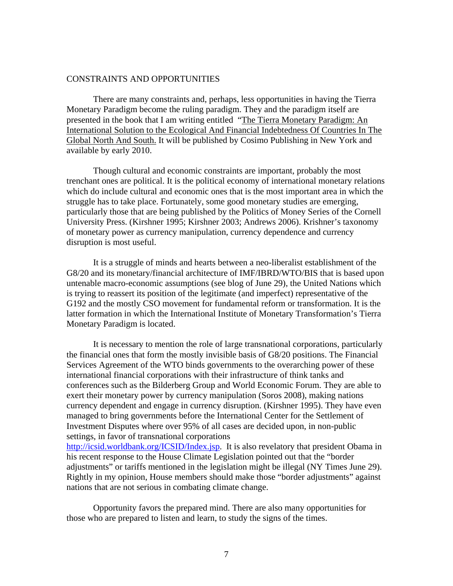#### CONSTRAINTS AND OPPORTUNITIES

There are many constraints and, perhaps, less opportunities in having the Tierra Monetary Paradigm become the ruling paradigm. They and the paradigm itself are presented in the book that I am writing entitled "The Tierra Monetary Paradigm: An International Solution to the Ecological And Financial Indebtedness Of Countries In The Global North And South. It will be published by Cosimo Publishing in New York and available by early 2010.

Though cultural and economic constraints are important, probably the most trenchant ones are political. It is the political economy of international monetary relations which do include cultural and economic ones that is the most important area in which the struggle has to take place. Fortunately, some good monetary studies are emerging, particularly those that are being published by the Politics of Money Series of the Cornell University Press. (Kirshner 1995; Kirshner 2003; Andrews 2006). Krishner's taxonomy of monetary power as currency manipulation, currency dependence and currency disruption is most useful.

It is a struggle of minds and hearts between a neo-liberalist establishment of the G8/20 and its monetary/financial architecture of IMF/IBRD/WTO/BIS that is based upon untenable macro-economic assumptions (see blog of June 29), the United Nations which is trying to reassert its position of the legitimate (and imperfect) representative of the G192 and the mostly CSO movement for fundamental reform or transformation. It is the latter formation in which the International Institute of Monetary Transformation's Tierra Monetary Paradigm is located.

It is necessary to mention the role of large transnational corporations, particularly the financial ones that form the mostly invisible basis of G8/20 positions. The Financial Services Agreement of the WTO binds governments to the overarching power of these international financial corporations with their infrastructure of think tanks and conferences such as the Bilderberg Group and World Economic Forum. They are able to exert their monetary power by currency manipulation (Soros 2008), making nations currency dependent and engage in currency disruption. (Kirshner 1995). They have even managed to bring governments before the International Center for the Settlement of Investment Disputes where over 95% of all cases are decided upon, in non-public settings, in favor of transnational corporations

http://icsid.worldbank.org/ICSID/Index.jsp. It is also revelatory that president Obama in his recent response to the House Climate Legislation pointed out that the "border adjustments" or tariffs mentioned in the legislation might be illegal (NY Times June 29). Rightly in my opinion, House members should make those "border adjustments" against nations that are not serious in combating climate change.

 Opportunity favors the prepared mind. There are also many opportunities for those who are prepared to listen and learn, to study the signs of the times.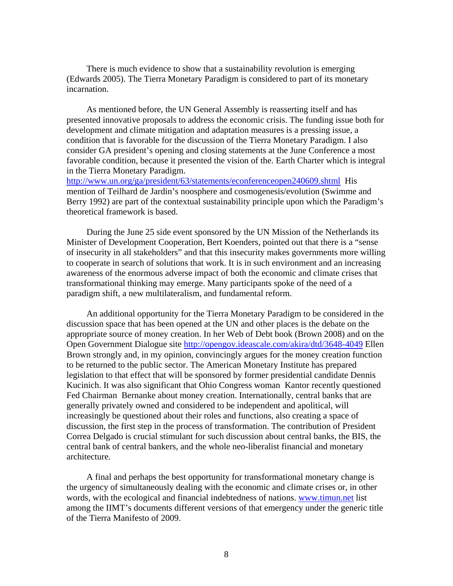There is much evidence to show that a sustainability revolution is emerging (Edwards 2005). The Tierra Monetary Paradigm is considered to part of its monetary incarnation.

 As mentioned before, the UN General Assembly is reasserting itself and has presented innovative proposals to address the economic crisis. The funding issue both for development and climate mitigation and adaptation measures is a pressing issue, a condition that is favorable for the discussion of the Tierra Monetary Paradigm. I also consider GA president's opening and closing statements at the June Conference a most favorable condition, because it presented the vision of the. Earth Charter which is integral in the Tierra Monetary Paradigm.

http://www.un.org/ga/president/63/statements/econferenceopen240609.shtml His mention of Teilhard de Jardin's noosphere and cosmogenesis/evolution (Swimme and Berry 1992) are part of the contextual sustainability principle upon which the Paradigm's theoretical framework is based.

 During the June 25 side event sponsored by the UN Mission of the Netherlands its Minister of Development Cooperation, Bert Koenders, pointed out that there is a "sense of insecurity in all stakeholders" and that this insecurity makes governments more willing to cooperate in search of solutions that work. It is in such environment and an increasing awareness of the enormous adverse impact of both the economic and climate crises that transformational thinking may emerge. Many participants spoke of the need of a paradigm shift, a new multilateralism, and fundamental reform.

 An additional opportunity for the Tierra Monetary Paradigm to be considered in the discussion space that has been opened at the UN and other places is the debate on the appropriate source of money creation. In her Web of Debt book (Brown 2008) and on the Open Government Dialogue site http://opengov.ideascale.com/akira/dtd/3648-4049 Ellen Brown strongly and, in my opinion, convincingly argues for the money creation function to be returned to the public sector. The American Monetary Institute has prepared legislation to that effect that will be sponsored by former presidential candidate Dennis Kucinich. It was also significant that Ohio Congress woman Kantor recently questioned Fed Chairman Bernanke about money creation. Internationally, central banks that are generally privately owned and considered to be independent and apolitical, will increasingly be questioned about their roles and functions, also creating a space of discussion, the first step in the process of transformation. The contribution of President Correa Delgado is crucial stimulant for such discussion about central banks, the BIS, the central bank of central bankers, and the whole neo-liberalist financial and monetary architecture.

 A final and perhaps the best opportunity for transformational monetary change is the urgency of simultaneously dealing with the economic and climate crises or, in other words, with the ecological and financial indebtedness of nations. www.timun.net list among the IIMT's documents different versions of that emergency under the generic title of the Tierra Manifesto of 2009.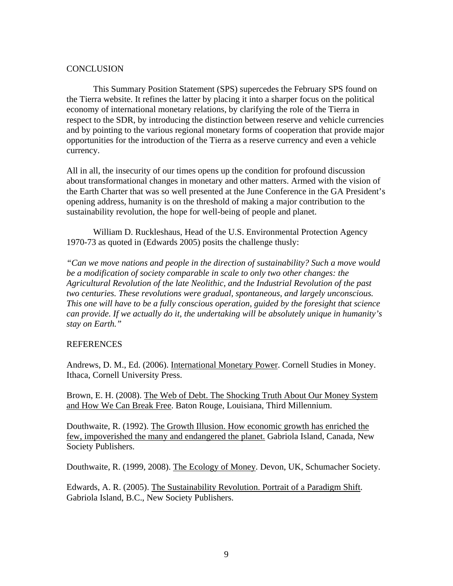## **CONCLUSION**

 This Summary Position Statement (SPS) supercedes the February SPS found on the Tierra website. It refines the latter by placing it into a sharper focus on the political economy of international monetary relations, by clarifying the role of the Tierra in respect to the SDR, by introducing the distinction between reserve and vehicle currencies and by pointing to the various regional monetary forms of cooperation that provide major opportunities for the introduction of the Tierra as a reserve currency and even a vehicle currency.

All in all, the insecurity of our times opens up the condition for profound discussion about transformational changes in monetary and other matters. Armed with the vision of the Earth Charter that was so well presented at the June Conference in the GA President's opening address, humanity is on the threshold of making a major contribution to the sustainability revolution, the hope for well-being of people and planet.

William D. Ruckleshaus, Head of the U.S. Environmental Protection Agency 1970-73 as quoted in (Edwards 2005) posits the challenge thusly:

*"Can we move nations and people in the direction of sustainability? Such a move would be a modification of society comparable in scale to only two other changes: the Agricultural Revolution of the late Neolithic, and the Industrial Revolution of the past two centuries. These revolutions were gradual, spontaneous, and largely unconscious. This one will have to be a fully conscious operation, guided by the foresight that science can provide. If we actually do it, the undertaking will be absolutely unique in humanity's stay on Earth."*

### **REFERENCES**

Andrews, D. M., Ed. (2006). International Monetary Power. Cornell Studies in Money. Ithaca, Cornell University Press.

Brown, E. H. (2008). The Web of Debt. The Shocking Truth About Our Money System and How We Can Break Free. Baton Rouge, Louisiana, Third Millennium.

Douthwaite, R. (1992). The Growth Illusion. How economic growth has enriched the few, impoverished the many and endangered the planet. Gabriola Island, Canada, New Society Publishers.

Douthwaite, R. (1999, 2008). The Ecology of Money. Devon, UK, Schumacher Society.

Edwards, A. R. (2005). The Sustainability Revolution. Portrait of a Paradigm Shift. Gabriola Island, B.C., New Society Publishers.